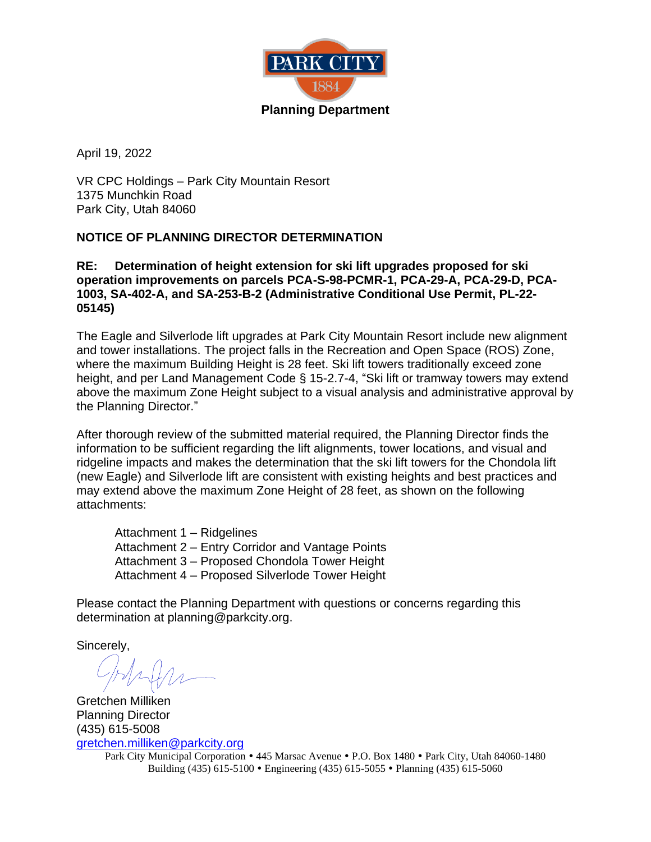

April 19, 2022

VR CPC Holdings – Park City Mountain Resort 1375 Munchkin Road Park City, Utah 84060

#### **NOTICE OF PLANNING DIRECTOR DETERMINATION**

**RE: Determination of height extension for ski lift upgrades proposed for ski operation improvements on parcels PCA-S-98-PCMR-1, PCA-29-A, PCA-29-D, PCA-1003, SA-402-A, and SA-253-B-2 (Administrative Conditional Use Permit, PL-22- 05145)**

The Eagle and Silverlode lift upgrades at Park City Mountain Resort include new alignment and tower installations. The project falls in the Recreation and Open Space (ROS) Zone, where the maximum Building Height is 28 feet. Ski lift towers traditionally exceed zone height, and per Land Management Code § 15-2.7-4, "Ski lift or tramway towers may extend above the maximum Zone Height subject to a visual analysis and administrative approval by the Planning Director."

After thorough review of the submitted material required, the Planning Director finds the information to be sufficient regarding the lift alignments, tower locations, and visual and ridgeline impacts and makes the determination that the ski lift towers for the Chondola lift (new Eagle) and Silverlode lift are consistent with existing heights and best practices and may extend above the maximum Zone Height of 28 feet, as shown on the following attachments:

Attachment 1 – Ridgelines Attachment 2 – Entry Corridor and Vantage Points Attachment 3 – Proposed Chondola Tower Height Attachment 4 – Proposed Silverlode Tower Height

Please contact the Planning Department with questions or concerns regarding this determination at planning@parkcity.org.

Sincerely,

Gretchen Milliken Planning Director (435) 615-5008 [gretchen.milliken@parkcity.org](mailto:gretchen.milliken@parkcity.org)

Park City Municipal Corporation • 445 Marsac Avenue • P.O. Box 1480 • Park City, Utah 84060-1480 Building (435) 615-5100 Engineering (435) 615-5055 Planning (435) 615-5060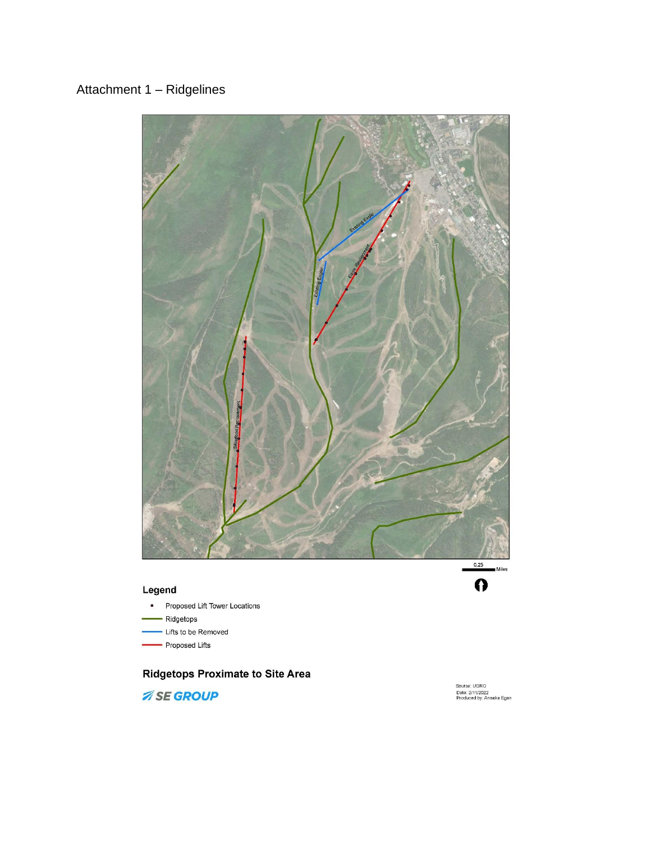# Attachment 1 - Ridgelines



#### Legend

- Proposed Lift Tower Locations
- Ridgetops
- Lifts to be Removed
- Proposed Lifts

### **Ridgetops Proximate to Site Area**

**ASE GROUP** 



Source: UGRC<br>Date: 2/11/2022<br>Produced by: Annaka Egan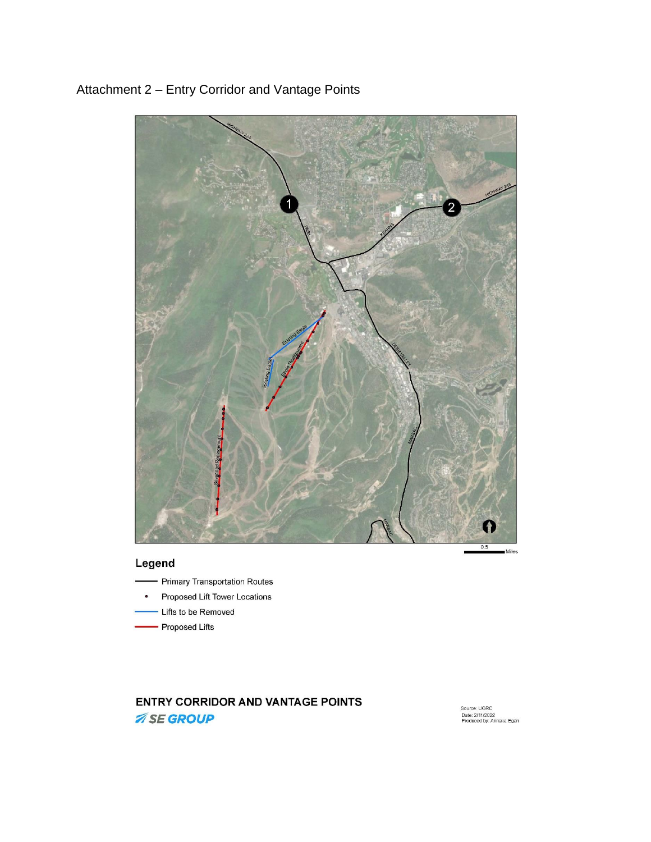

# Attachment 2 - Entry Corridor and Vantage Points

### Legend

- Primary Transportation Routes
- Proposed Lift Tower Locations  $\bullet$
- Lifts to be Removed
- Proposed Lifts

### **ENTRY CORRIDOR AND VANTAGE POINTS ASE GROUP**

Source: UGRC<br>Date: 2/11/2022<br>Produced by: Annaka Egan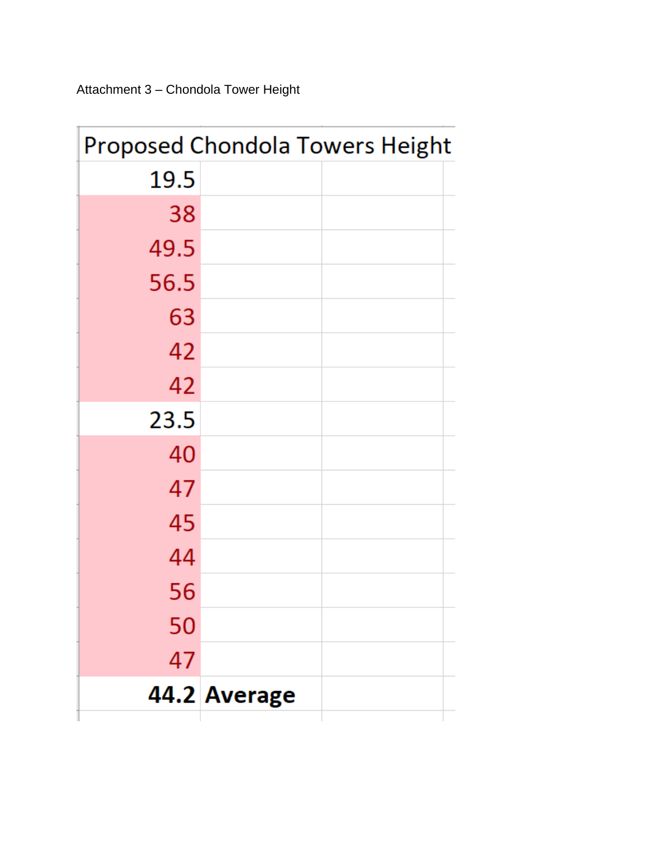Attachment 3 - Chondola Tower Height

| <b>Proposed Chondola Towers Height</b> |              |
|----------------------------------------|--------------|
| 19.5                                   |              |
| 38                                     |              |
| 49.5                                   |              |
| 56.5                                   |              |
| 63                                     |              |
| 42                                     |              |
| 42                                     |              |
| 23.5                                   |              |
| 40                                     |              |
| 47                                     |              |
| 45                                     |              |
| 44                                     |              |
| 56                                     |              |
| 50                                     |              |
| 47                                     |              |
|                                        | 44.2 Average |